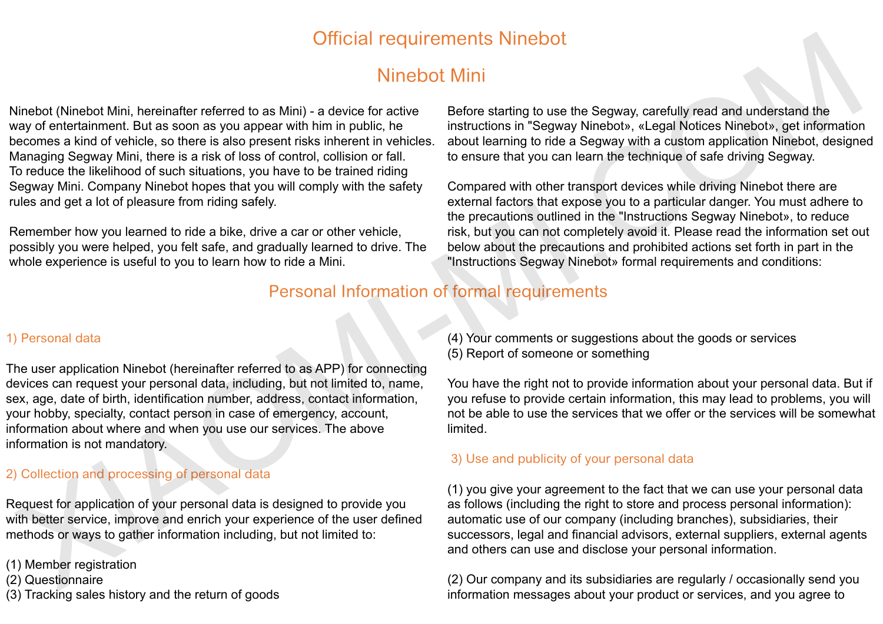# Official requirements Ninebot

# Ninebot Mini

Ninebot (Ninebot Mini, hereinafter referred to as Mini) - a device for active way of entertainment. But as soon as you appear with him in public, he becomes a kind of vehicle, so there is also present risks inherent in vehicles. Managing Segway Mini, there is a risk of loss of control, collision or fall. To reduce the likelihood of such situations, you have to be trained riding Segway Mini. Company Ninebot hopes that you will comply with the safety rules and get a lot of pleasure from riding safely. Ninchot (Ninebut Min. Interimentent of the Unit of the Constant of the Constant of the Constant of the Constant of the Constant of the Constant of the Constant of the Constant of the Constant of the Constant of the Constan

Remember how you learned to ride a bike, drive a car or other vehicle, possibly you were helped, you felt safe, and gradually learned to drive. The whole experience is useful to you to learn how to ride a Mini.

Before starting to use the Segway, carefully read and understand the instructions in "Segway Ninebot», «Legal Notices Ninebot», get information about learning to ride a Segway with a custom application Ninebot, designed to ensure that you can learn the technique of safe driving Segway.

Compared with other transport devices while driving Ninebot there are external factors that expose you to a particular danger. You must adhere to the precautions outlined in the "Instructions Segway Ninebot», to reduce risk, but you can not completely avoid it. Please read the information set out below about the precautions and prohibited actions set forth in part in the "Instructions Segway Ninebot» formal requirements and conditions:

## Personal Information of formal requirements

#### 1) Personal data

The user application Ninebot (hereinafter referred to as APP) for connecting devices can request your personal data, including, but not limited to, name, sex, age, date of birth, identification number, address, contact information, your hobby, specialty, contact person in case of emergency, account, information about where and when you use our services. The above information is not mandatory.

#### 2) Collection and processing of personal data

Request for application of your personal data is designed to provide you with better service, improve and enrich your experience of the user defined methods or ways to gather information including, but not limited to:

(1) Member registration

- (2) Questionnaire
- (3) Tracking sales history and the return of goods

(4) Your comments or suggestions about the goods or services (5) Report of someone or something

You have the right not to provide information about your personal data. But if you refuse to provide certain information, this may lead to problems, you will not be able to use the services that we offer or the services will be somewhat limited.

#### 3) Use and publicity of your personal data

(1) you give your agreement to the fact that we can use your personal data as follows (including the right to store and process personal information): automatic use of our company (including branches), subsidiaries, their successors, legal and financial advisors, external suppliers, external agents and others can use and disclose your personal information.

(2) Our company and its subsidiaries are regularly / occasionally send you information messages about your product or services, and you agree to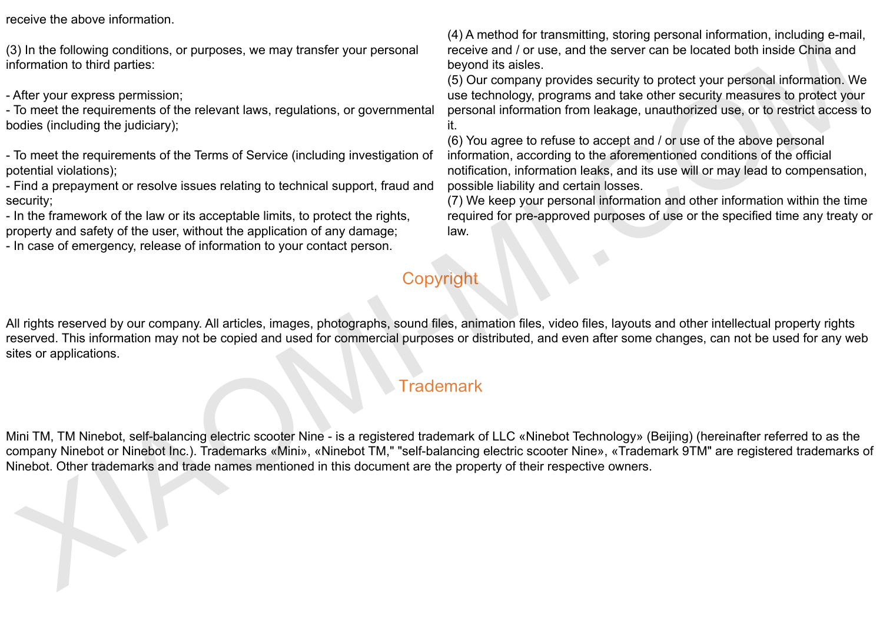receive the above information.

(3) In the following conditions, or purposes, we may transfer your personal information to third parties:

- After your express permission;

- To meet the requirements of the relevant laws, regulations, or governmental bodies (including the judiciary);

- To meet the requirements of the Terms of Service (including investigation of potential violations);

- Find a prepayment or resolve issues relating to technical support, fraud and security;

- In the framework of the law or its acceptable limits, to protect the rights, property and safety of the user, without the application of any damage;

- In case of emergency, release of information to your contact person.

(4) A method for transmitting, storing personal information, including e-mail, receive and / or use, and the server can be located both inside China and beyond its aisles.

(5) Our company provides security to protect your personal information. We use technology, programs and take other security measures to protect your personal information from leakage, unauthorized use, or to restrict access to it.

(6) You agree to refuse to accept and / or use of the above personal information, according to the aforementioned conditions of the official notification, information leaks, and its use will or may lead to compensation, possible liability and certain losses.

(7) We keep your personal information and other information within the time required for pre-approved purposes of use or the specified time any treaty or law.

## Copyright

All rights reserved by our company. All articles, images, photographs, sound files, animation files, video files, layouts and other intellectual property rights reserved. This information may not be copied and used for commercial purposes or distributed, and even after some changes, can not be used for any web sites or applications. 3) In the following conditions, or purposes, we may transfer your personal<br>
(solution the property of the state and the state of the state of the state of the state of the state of the state of the state of the state of th

## **Trademark**

Mini TM, TM Ninebot, self-balancing electric scooter Nine - is a registered trademark of LLC «Ninebot Technology» (Beijing) (hereinafter referred to as the company Ninebot or Ninebot Inc.). Trademarks «Mini», «Ninebot TM," "self-balancing electric scooter Nine», «Trademark 9TM" are registered trademarks of Ninebot. Other trademarks and trade names mentioned in this document are the property of their respective owners.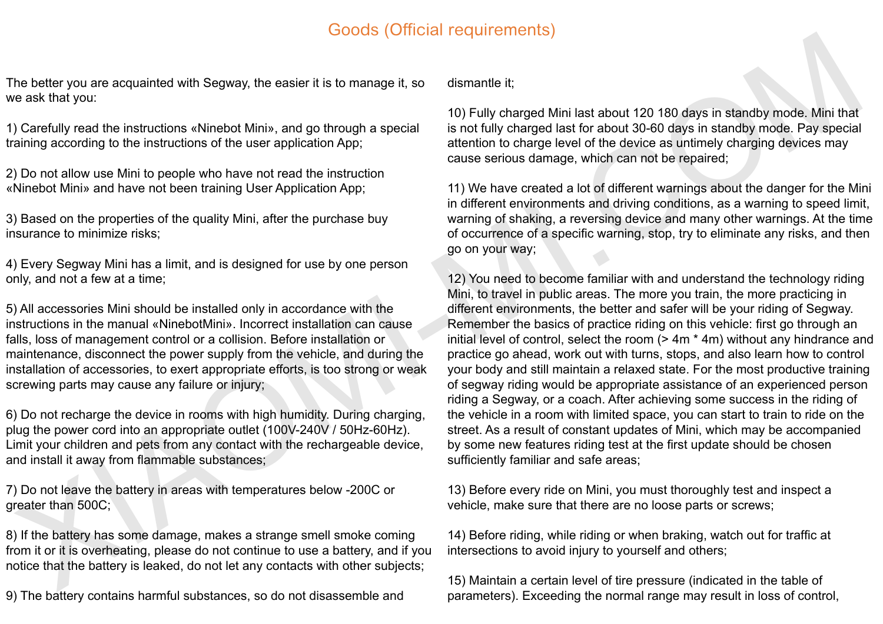## Goods (Official requirements)

The better you are acquainted with Segway, the easier it is to manage it, so we ask that you:

1) Carefully read the instructions «Ninebot Mini», and go through a special training according to the instructions of the user application App;

2) Do not allow use Mini to people who have not read the instruction «Ninebot Mini» and have not been training User Application App;

3) Based on the properties of the quality Mini, after the purchase buy insurance to minimize risks;

4) Every Segway Mini has a limit, and is designed for use by one person only, and not a few at a time;

5) All accessories Mini should be installed only in accordance with the instructions in the manual «NinebotMini». Incorrect installation can cause falls, loss of management control or a collision. Before installation or maintenance, disconnect the power supply from the vehicle, and during the installation of accessories, to exert appropriate efforts, is too strong or weak screwing parts may cause any failure or injury;

6) Do not recharge the device in rooms with high humidity. During charging, plug the power cord into an appropriate outlet (100V-240V / 50Hz-60Hz). Limit your children and pets from any contact with the rechargeable device, and install it away from flammable substances;

7) Do not leave the battery in areas with temperatures below -200C or greater than 500C;

8) If the battery has some damage, makes a strange smell smoke coming from it or it is overheating, please do not continue to use a battery, and if you notice that the battery is leaked, do not let any contacts with other subjects;

9) The battery contains harmful substances, so do not disassemble and

dismantle it;

10) Fully charged Mini last about 120 180 days in standby mode. Mini that is not fully charged last for about 30-60 days in standby mode. Pay special attention to charge level of the device as untimely charging devices may cause serious damage, which can not be repaired;

11) We have created a lot of different warnings about the danger for the Mini in different environments and driving conditions, as a warning to speed limit, warning of shaking, a reversing device and many other warnings. At the time of occurrence of a specific warning, stop, try to eliminate any risks, and then go on your way;

12) You need to become familiar with and understand the technology riding Mini, to travel in public areas. The more you train, the more practicing in different environments, the better and safer will be your riding of Segway. Remember the basics of practice riding on this vehicle: first go through an initial level of control, select the room (> 4m \* 4m) without any hindrance and practice go ahead, work out with turns, stops, and also learn how to control your body and still maintain a relaxed state. For the most productive training of segway riding would be appropriate assistance of an experienced person riding a Segway, or a coach. After achieving some success in the riding of the vehicle in a room with limited space, you can start to train to ride on the street. As a result of constant updates of Mini, which may be accompanied by some new features riding test at the first update should be chosen sufficiently familiar and safe areas; The better you are acquarited with Segway, the estate this to manage it, so dismantle children every risk of 0.01120.130.69% in standary mode. Half the control of the the transmission of the transmission of the control of

13) Before every ride on Mini, you must thoroughly test and inspect a vehicle, make sure that there are no loose parts or screws;

14) Before riding, while riding or when braking, watch out for traffic at intersections to avoid injury to yourself and others:

15) Maintain a certain level of tire pressure (indicated in the table of parameters). Exceeding the normal range may result in loss of control,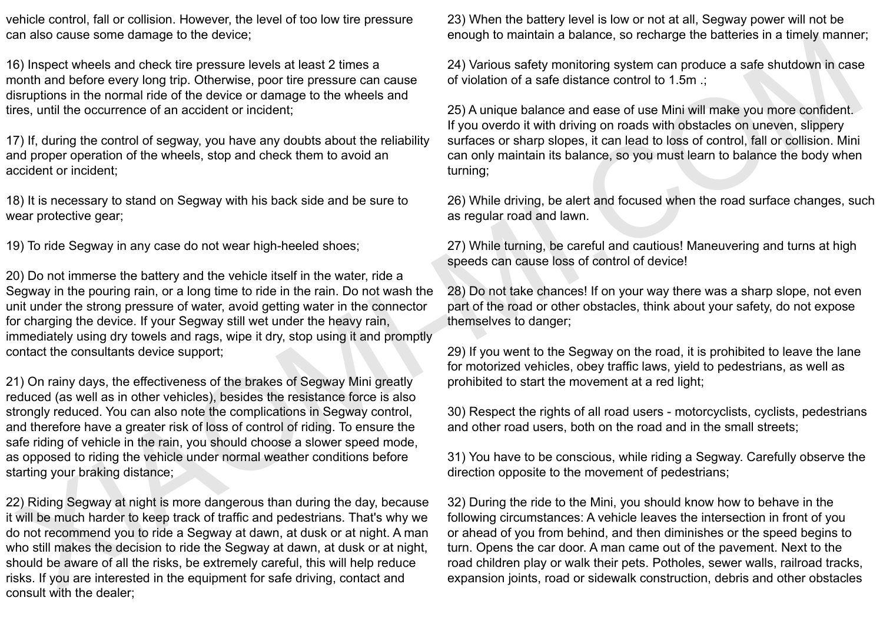vehicle control, fall or collision. However, the level of too low tire pressure can also cause some damage to the device;

16) Inspect wheels and check tire pressure levels at least 2 times a month and before every long trip. Otherwise, poor tire pressure can cause disruptions in the normal ride of the device or damage to the wheels and tires, until the occurrence of an accident or incident;

17) If, during the control of segway, you have any doubts about the reliability and proper operation of the wheels, stop and check them to avoid an accident or incident;

18) It is necessary to stand on Segway with his back side and be sure to wear protective gear;

19) To ride Segway in any case do not wear high-heeled shoes;

20) Do not immerse the battery and the vehicle itself in the water, ride a Segway in the pouring rain, or a long time to ride in the rain. Do not wash the unit under the strong pressure of water, avoid getting water in the connector for charging the device. If your Segway still wet under the heavy rain, immediately using dry towels and rags, wipe it dry, stop using it and promptly contact the consultants device support;

21) On rainy days, the effectiveness of the brakes of Segway Mini greatly reduced (as well as in other vehicles), besides the resistance force is also strongly reduced. You can also note the complications in Segway control, and therefore have a greater risk of loss of control of riding. To ensure the safe riding of vehicle in the rain, you should choose a slower speed mode, as opposed to riding the vehicle under normal weather conditions before starting your braking distance; an an contained the material of the pressure levels at least 2 kmes a<br>
24) Various safety monitoring system can be a material of the material of the material of the material of the material of the material of the material

22) Riding Segway at night is more dangerous than during the day, because it will be much harder to keep track of traffic and pedestrians. That's why we do not recommend you to ride a Segway at dawn, at dusk or at night. A man who still makes the decision to ride the Segway at dawn, at dusk or at night, should be aware of all the risks, be extremely careful, this will help reduce risks. If you are interested in the equipment for safe driving, contact and consult with the dealer;

23) When the battery level is low or not at all, Segway power will not be enough to maintain a balance, so recharge the batteries in a timely manner;

24) Various safety monitoring system can produce a safe shutdown in case of violation of a safe distance control to 1.5m .;

25) A unique balance and ease of use Mini will make you more confident. If you overdo it with driving on roads with obstacles on uneven, slippery surfaces or sharp slopes, it can lead to loss of control, fall or collision. Mini can only maintain its balance, so you must learn to balance the body when turning;

26) While driving, be alert and focused when the road surface changes, such as regular road and lawn.

27) While turning, be careful and cautious! Maneuvering and turns at high speeds can cause loss of control of device!

28) Do not take chances! If on your way there was a sharp slope, not even part of the road or other obstacles, think about your safety, do not expose themselves to danger;

29) If you went to the Segway on the road, it is prohibited to leave the lane for motorized vehicles, obey traffic laws, yield to pedestrians, as well as prohibited to start the movement at a red light;

30) Respect the rights of all road users - motorcyclists, cyclists, pedestrians and other road users, both on the road and in the small streets;

31) You have to be conscious, while riding a Segway. Carefully observe the direction opposite to the movement of pedestrians;

32) During the ride to the Mini, you should know how to behave in the following circumstances: A vehicle leaves the intersection in front of you or ahead of you from behind, and then diminishes or the speed begins to turn. Opens the car door. A man came out of the pavement. Next to the road children play or walk their pets. Potholes, sewer walls, railroad tracks, expansion joints, road or sidewalk construction, debris and other obstacles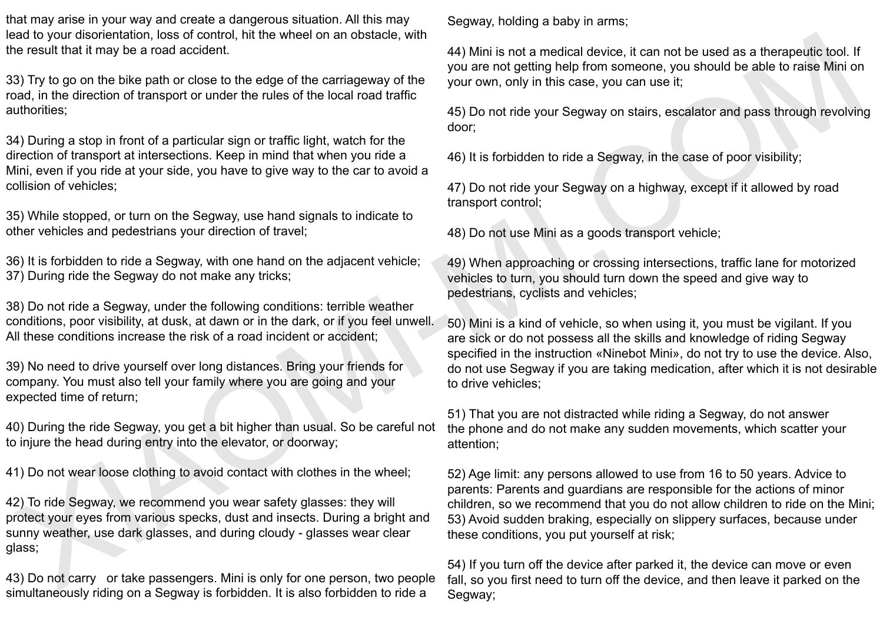that may arise in your way and create a dangerous situation. All this may lead to your disorientation, loss of control, hit the wheel on an obstacle, with the result that it may be a road accident.

33) Try to go on the bike path or close to the edge of the carriageway of the road, in the direction of transport or under the rules of the local road traffic authorities;

34) During a stop in front of a particular sign or traffic light, watch for the direction of transport at intersections. Keep in mind that when you ride a Mini, even if you ride at your side, you have to give way to the car to avoid a collision of vehicles;

35) While stopped, or turn on the Segway, use hand signals to indicate to other vehicles and pedestrians your direction of travel;

36) It is forbidden to ride a Segway, with one hand on the adjacent vehicle; 37) During ride the Segway do not make any tricks;

38) Do not ride a Segway, under the following conditions: terrible weather conditions, poor visibility, at dusk, at dawn or in the dark, or if you feel unwell. All these conditions increase the risk of a road incident or accident;

39) No need to drive yourself over long distances. Bring your friends for company. You must also tell your family where you are going and your expected time of return;

40) During the ride Segway, you get a bit higher than usual. So be careful not to injure the head during entry into the elevator, or doorway;

41) Do not wear loose clothing to avoid contact with clothes in the wheel;

42) To ride Segway, we recommend you wear safety glasses: they will protect your eyes from various specks, dust and insects. During a bright and sunny weather, use dark glasses, and during cloudy - glasses wear clear glass;

43) Do not carry or take passengers. Mini is only for one person, two people simultaneously riding on a Segway is forbidden. It is also forbidden to ride a

Segway, holding a baby in arms;

44) Mini is not a medical device, it can not be used as a therapeutic tool. If you are not getting help from someone, you should be able to raise Mini on your own, only in this case, you can use it;

45) Do not ride your Segway on stairs, escalator and pass through revolving door;

46) It is forbidden to ride a Segway, in the case of poor visibility;

47) Do not ride your Segway on a highway, except if it allowed by road transport control;

48) Do not use Mini as a goods transport vehicle;

49) When approaching or crossing intersections, traffic lane for motorized vehicles to turn, you should turn down the speed and give way to pedestrians, cyclists and vehicles;

50) Mini is a kind of vehicle, so when using it, you must be vigilant. If you are sick or do not possess all the skills and knowledge of riding Segway specified in the instruction «Ninebot Mini», do not try to use the device. Also, do not use Segway if you are taking medication, after which it is not desirable to drive vehicles;

51) That you are not distracted while riding a Segway, do not answer the phone and do not make any sudden movements, which scatter your attention;

52) Age limit: any persons allowed to use from 16 to 50 years. Advice to parents: Parents and guardians are responsible for the actions of minor children, so we recommend that you do not allow children to ride on the Mini; 53) Avoid sudden braking, especially on slippery surfaces, because under these conditions, you put yourself at risk; and the transmitted in may be a control. At the When on a costale, will be in a model divided by control. The based of the control of the stress of the control of the stress of the control of the stress of the control of t

54) If you turn off the device after parked it, the device can move or even fall, so you first need to turn off the device, and then leave it parked on the Segway;